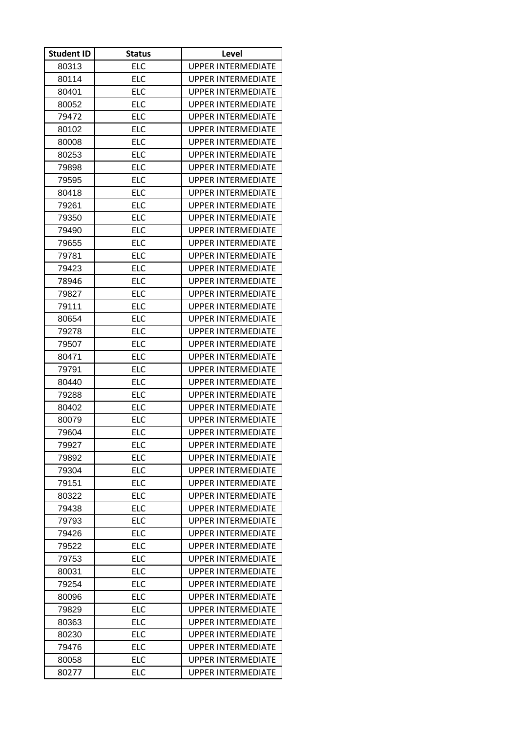| <b>Student ID</b> | <b>Status</b> | Level                     |
|-------------------|---------------|---------------------------|
| 80313             | <b>ELC</b>    | <b>UPPER INTERMEDIATE</b> |
| 80114             | <b>ELC</b>    | <b>UPPER INTERMEDIATE</b> |
| 80401             | <b>ELC</b>    | <b>UPPER INTERMEDIATE</b> |
| 80052             | ELC           | <b>UPPER INTERMEDIATE</b> |
| 79472             | <b>ELC</b>    | UPPER INTERMEDIATE        |
| 80102             | <b>ELC</b>    | <b>UPPER INTERMEDIATE</b> |
| 80008             | <b>ELC</b>    | <b>UPPER INTERMEDIATE</b> |
| 80253             | <b>ELC</b>    | <b>UPPER INTERMEDIATE</b> |
| 79898             | ELC           | UPPER INTERMEDIATE        |
| 79595             | <b>ELC</b>    | <b>UPPER INTERMEDIATE</b> |
| 80418             | <b>ELC</b>    | <b>UPPER INTERMEDIATE</b> |
| 79261             | <b>ELC</b>    | UPPER INTERMEDIATE        |
| 79350             | ELC           | <b>UPPER INTERMEDIATE</b> |
| 79490             | <b>ELC</b>    | <b>UPPER INTERMEDIATE</b> |
| 79655             | <b>ELC</b>    | <b>UPPER INTERMEDIATE</b> |
| 79781             | <b>ELC</b>    | <b>UPPER INTERMEDIATE</b> |
| 79423             | <b>ELC</b>    | <b>UPPER INTERMEDIATE</b> |
| 78946             | <b>ELC</b>    | <b>UPPER INTERMEDIATE</b> |
| 79827             | <b>ELC</b>    | <b>UPPER INTERMEDIATE</b> |
| 79111             | <b>ELC</b>    | <b>UPPER INTERMEDIATE</b> |
| 80654             | <b>ELC</b>    | <b>UPPER INTERMEDIATE</b> |
| 79278             | <b>ELC</b>    | <b>UPPER INTERMEDIATE</b> |
| 79507             | ELC           | UPPER INTERMEDIATE        |
| 80471             | <b>ELC</b>    | <b>UPPER INTERMEDIATE</b> |
| 79791             | <b>ELC</b>    | <b>UPPER INTERMEDIATE</b> |
| 80440             | <b>ELC</b>    | UPPER INTERMEDIATE        |
| 79288             | <b>ELC</b>    | <b>UPPER INTERMEDIATE</b> |
| 80402             | <b>ELC</b>    | UPPER INTERMEDIATE        |
| 80079             | <b>ELC</b>    | <b>UPPER INTERMEDIATE</b> |
| 79604             | ELC           | <b>UPPER INTERMEDIATE</b> |
| 79927             | <b>ELC</b>    | <b>UPPER INTERMEDIATE</b> |
| 79892             | ELC           | <b>UPPER INTERMEDIATE</b> |
| 79304             | <b>ELC</b>    | <b>UPPER INTERMEDIATE</b> |
| 79151             | <b>ELC</b>    | <b>UPPER INTERMEDIATE</b> |
| 80322             | <b>ELC</b>    | UPPER INTERMEDIATE        |
| 79438             | <b>ELC</b>    | <b>UPPER INTERMEDIATE</b> |
| 79793             | <b>ELC</b>    | UPPER INTERMEDIATE        |
| 79426             | ELC           | <b>UPPER INTERMEDIATE</b> |
| 79522             | <b>ELC</b>    | <b>UPPER INTERMEDIATE</b> |
| 79753             | <b>ELC</b>    | UPPER INTERMEDIATE        |
| 80031             | <b>ELC</b>    | <b>UPPER INTERMEDIATE</b> |
| 79254             | <b>ELC</b>    | <b>UPPER INTERMEDIATE</b> |
| 80096             | <b>ELC</b>    | <b>UPPER INTERMEDIATE</b> |
| 79829             | ELC           | <b>UPPER INTERMEDIATE</b> |
| 80363             | ELC           | UPPER INTERMEDIATE        |
| 80230             | <b>ELC</b>    | <b>UPPER INTERMEDIATE</b> |
| 79476             | <b>ELC</b>    | UPPER INTERMEDIATE        |
| 80058             | ELC           | <b>UPPER INTERMEDIATE</b> |
| 80277             | <b>ELC</b>    | <b>UPPER INTERMEDIATE</b> |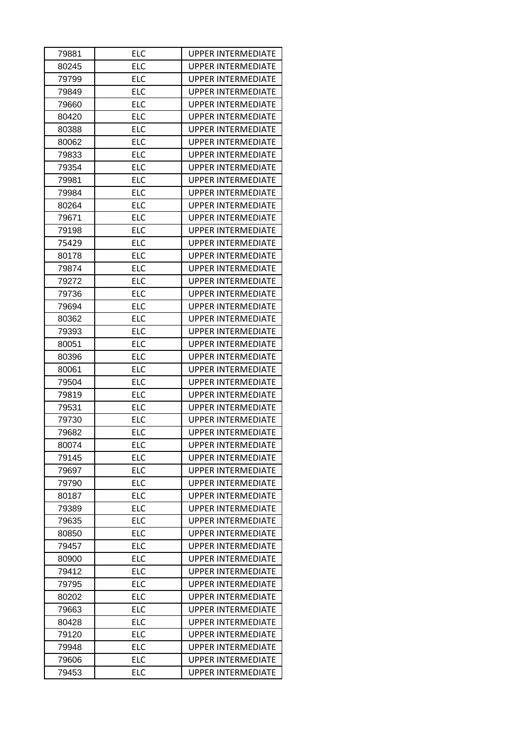| 79881 | <b>ELC</b> | UPPER INTERMEDIATE        |
|-------|------------|---------------------------|
| 80245 | <b>ELC</b> | UPPER INTERMEDIATE        |
| 79799 | <b>ELC</b> | UPPER INTERMEDIATE        |
| 79849 | <b>ELC</b> | <b>UPPER INTERMEDIATE</b> |
| 79660 | <b>ELC</b> | <b>UPPER INTERMEDIATE</b> |
| 80420 | <b>ELC</b> | UPPER INTERMEDIATE        |
| 80388 | <b>ELC</b> | <b>UPPER INTERMEDIATE</b> |
| 80062 | <b>ELC</b> | <b>UPPER INTERMEDIATE</b> |
| 79833 | <b>ELC</b> | <b>UPPER INTERMEDIATE</b> |
| 79354 | <b>ELC</b> | UPPER INTERMEDIATE        |
| 79981 | <b>ELC</b> | <b>UPPER INTERMEDIATE</b> |
| 79984 | <b>ELC</b> | UPPER INTERMEDIATE        |
| 80264 | <b>ELC</b> | <b>UPPER INTERMEDIATE</b> |
| 79671 | <b>ELC</b> | <b>UPPER INTERMEDIATE</b> |
| 79198 | ELC        | UPPER INTERMEDIATE        |
| 75429 | <b>ELC</b> | UPPER INTERMEDIATE        |
| 80178 | <b>ELC</b> | UPPER INTERMEDIATE        |
| 79874 | <b>ELC</b> | <b>UPPER INTERMEDIATE</b> |
| 79272 | <b>ELC</b> | <b>UPPER INTERMEDIATE</b> |
| 79736 | <b>ELC</b> | <b>UPPER INTERMEDIATE</b> |
| 79694 | <b>ELC</b> | <b>UPPER INTERMEDIATE</b> |
| 80362 | <b>ELC</b> | <b>UPPER INTERMEDIATE</b> |
| 79393 | <b>ELC</b> | <b>UPPER INTERMEDIATE</b> |
| 80051 | <b>ELC</b> | <b>UPPER INTERMEDIATE</b> |
| 80396 | <b>ELC</b> | <b>UPPER INTERMEDIATE</b> |
| 80061 | <b>ELC</b> | <b>UPPER INTERMEDIATE</b> |
| 79504 | <b>ELC</b> | UPPER INTERMEDIATE        |
| 79819 | <b>ELC</b> | <b>UPPER INTERMEDIATE</b> |
| 79531 | <b>ELC</b> | <b>UPPER INTERMEDIATE</b> |
| 79730 | <b>ELC</b> | <b>UPPER INTERMEDIATE</b> |
| 79682 | ELC        | UPPER INTERMEDIATE        |
| 80074 | ELC        | <b>UPPER INTERMEDIATE</b> |
| 79145 | <b>ELC</b> | <b>UPPER INTERMEDIATE</b> |
| 79697 | ELC        | <b>UPPER INTERMEDIATE</b> |
| 79790 | <b>ELC</b> | <b>UPPER INTERMEDIATE</b> |
| 80187 | ELC        | <b>UPPER INTERMEDIATE</b> |
| 79389 | ELC        | <b>UPPER INTERMEDIATE</b> |
| 79635 | <b>ELC</b> | <b>UPPER INTERMEDIATE</b> |
|       |            |                           |
| 80850 | <b>ELC</b> | UPPER INTERMEDIATE        |
| 79457 | <b>ELC</b> | <b>UPPER INTERMEDIATE</b> |
| 80900 | ELC        | <b>UPPER INTERMEDIATE</b> |
| 79412 | <b>ELC</b> | UPPER INTERMEDIATE        |
| 79795 | <b>ELC</b> | UPPER INTERMEDIATE        |
| 80202 | <b>ELC</b> | <b>UPPER INTERMEDIATE</b> |
| 79663 | <b>ELC</b> | <b>UPPER INTERMEDIATE</b> |
| 80428 | ELC        | UPPER INTERMEDIATE        |
| 79120 | <b>ELC</b> | <b>UPPER INTERMEDIATE</b> |
| 79948 | <b>ELC</b> | <b>UPPER INTERMEDIATE</b> |
| 79606 | ELC        | <b>UPPER INTERMEDIATE</b> |
| 79453 | ELC        | <b>UPPER INTERMEDIATE</b> |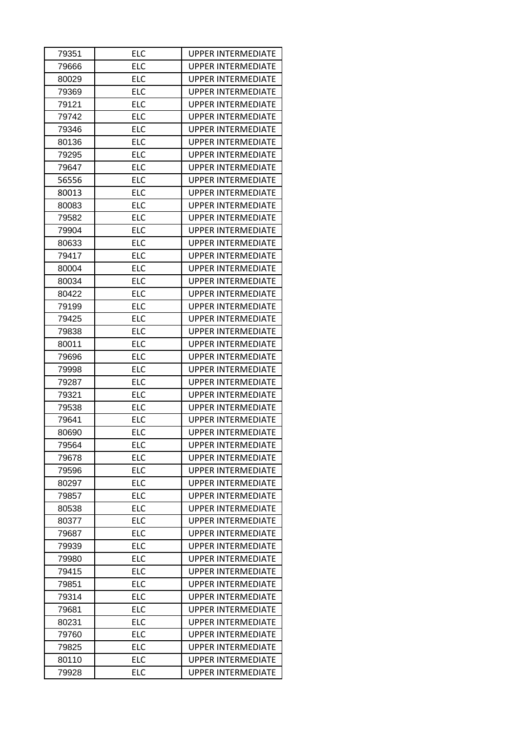| 79351 | ELC        | <b>UPPER INTERMEDIATE</b> |
|-------|------------|---------------------------|
| 79666 | <b>ELC</b> | <b>UPPER INTERMEDIATE</b> |
| 80029 | <b>ELC</b> | <b>UPPER INTERMEDIATE</b> |
| 79369 | <b>ELC</b> | <b>UPPER INTERMEDIATE</b> |
| 79121 | <b>ELC</b> | <b>UPPER INTERMEDIATE</b> |
| 79742 | <b>ELC</b> | <b>UPPER INTERMEDIATE</b> |
| 79346 | <b>ELC</b> | <b>UPPER INTERMEDIATE</b> |
| 80136 | <b>ELC</b> | <b>UPPER INTERMEDIATE</b> |
| 79295 | <b>ELC</b> | <b>UPPER INTERMEDIATE</b> |
| 79647 | <b>ELC</b> | <b>UPPER INTERMEDIATE</b> |
| 56556 | <b>ELC</b> | <b>UPPER INTERMEDIATE</b> |
| 80013 | <b>ELC</b> | <b>UPPER INTERMEDIATE</b> |
| 80083 | <b>ELC</b> | <b>UPPER INTERMEDIATE</b> |
| 79582 | <b>ELC</b> | <b>UPPER INTERMEDIATE</b> |
| 79904 | <b>ELC</b> | <b>UPPER INTERMEDIATE</b> |
| 80633 | <b>ELC</b> | <b>UPPER INTERMEDIATE</b> |
| 79417 | <b>ELC</b> | <b>UPPER INTERMEDIATE</b> |
| 80004 | <b>ELC</b> | <b>UPPER INTERMEDIATE</b> |
| 80034 | <b>ELC</b> | <b>UPPER INTERMEDIATE</b> |
| 80422 | <b>ELC</b> | <b>UPPER INTERMEDIATE</b> |
| 79199 | <b>ELC</b> | <b>UPPER INTERMEDIATE</b> |
| 79425 | <b>ELC</b> | <b>UPPER INTERMEDIATE</b> |
| 79838 | <b>ELC</b> | <b>UPPER INTERMEDIATE</b> |
| 80011 | <b>ELC</b> | <b>UPPER INTERMEDIATE</b> |
| 79696 | <b>ELC</b> | <b>UPPER INTERMEDIATE</b> |
| 79998 | <b>ELC</b> | <b>UPPER INTERMEDIATE</b> |
| 79287 | <b>ELC</b> | <b>UPPER INTERMEDIATE</b> |
| 79321 | <b>ELC</b> | <b>UPPER INTERMEDIATE</b> |
| 79538 | <b>ELC</b> | <b>UPPER INTERMEDIATE</b> |
| 79641 | <b>ELC</b> | <b>UPPER INTERMEDIATE</b> |
| 80690 | <b>ELC</b> | <b>UPPER INTERMEDIATE</b> |
| 79564 | ELC        | <b>UPPER INTERMEDIATE</b> |
| 79678 | <b>ELC</b> | <b>UPPER INTERMEDIATE</b> |
| 79596 | <b>ELC</b> | <b>UPPER INTERMEDIATE</b> |
| 80297 | <b>ELC</b> | <b>UPPER INTERMEDIATE</b> |
| 79857 | <b>ELC</b> | <b>UPPER INTERMEDIATE</b> |
| 80538 | <b>ELC</b> | <b>UPPER INTERMEDIATE</b> |
| 80377 | <b>ELC</b> | <b>UPPER INTERMEDIATE</b> |
| 79687 | <b>ELC</b> | <b>UPPER INTERMEDIATE</b> |
| 79939 | <b>ELC</b> | <b>UPPER INTERMEDIATE</b> |
| 79980 | <b>ELC</b> | <b>UPPER INTERMEDIATE</b> |
| 79415 | <b>ELC</b> | <b>UPPER INTERMEDIATE</b> |
| 79851 | <b>ELC</b> | <b>UPPER INTERMEDIATE</b> |
| 79314 | <b>ELC</b> | <b>UPPER INTERMEDIATE</b> |
| 79681 | <b>ELC</b> | <b>UPPER INTERMEDIATE</b> |
| 80231 | <b>ELC</b> | <b>UPPER INTERMEDIATE</b> |
| 79760 | <b>ELC</b> | <b>UPPER INTERMEDIATE</b> |
| 79825 |            |                           |
|       | <b>ELC</b> | <b>UPPER INTERMEDIATE</b> |
| 80110 | <b>ELC</b> | <b>UPPER INTERMEDIATE</b> |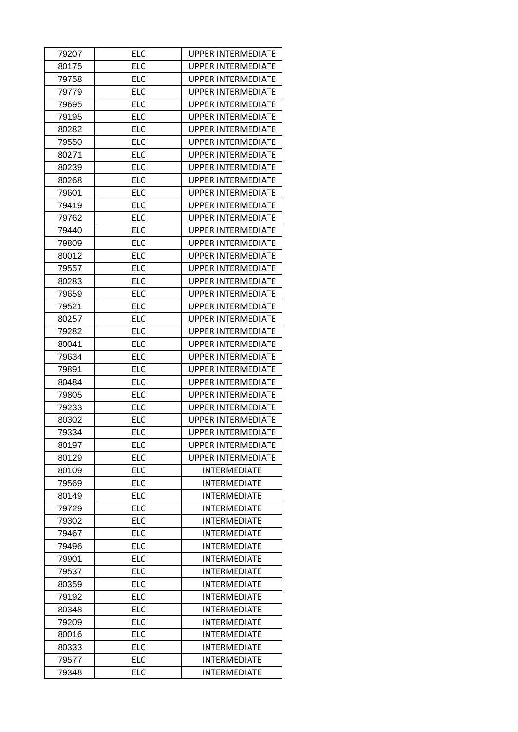| 79207 | ELC        | <b>UPPER INTERMEDIATE</b> |
|-------|------------|---------------------------|
| 80175 | <b>ELC</b> | <b>UPPER INTERMEDIATE</b> |
| 79758 | <b>ELC</b> | <b>UPPER INTERMEDIATE</b> |
| 79779 | <b>ELC</b> | <b>UPPER INTERMEDIATE</b> |
| 79695 | <b>ELC</b> | <b>UPPER INTERMEDIATE</b> |
| 79195 | <b>ELC</b> | <b>UPPER INTERMEDIATE</b> |
| 80282 | <b>ELC</b> | <b>UPPER INTERMEDIATE</b> |
| 79550 | <b>ELC</b> | <b>UPPER INTERMEDIATE</b> |
| 80271 | <b>ELC</b> | <b>UPPER INTERMEDIATE</b> |
| 80239 | <b>ELC</b> | <b>UPPER INTERMEDIATE</b> |
| 80268 | <b>ELC</b> | <b>UPPER INTERMEDIATE</b> |
| 79601 | <b>ELC</b> | <b>UPPER INTERMEDIATE</b> |
| 79419 | <b>ELC</b> | <b>UPPER INTERMEDIATE</b> |
| 79762 | <b>ELC</b> | <b>UPPER INTERMEDIATE</b> |
| 79440 | <b>ELC</b> | <b>UPPER INTERMEDIATE</b> |
| 79809 | <b>ELC</b> | <b>UPPER INTERMEDIATE</b> |
| 80012 | <b>ELC</b> | <b>UPPER INTERMEDIATE</b> |
| 79557 | <b>ELC</b> | UPPER INTERMEDIATE        |
| 80283 | <b>ELC</b> | <b>UPPER INTERMEDIATE</b> |
| 79659 | <b>ELC</b> | <b>UPPER INTERMEDIATE</b> |
| 79521 | <b>ELC</b> | <b>UPPER INTERMEDIATE</b> |
| 80257 | <b>ELC</b> | <b>UPPER INTERMEDIATE</b> |
| 79282 | <b>ELC</b> | <b>UPPER INTERMEDIATE</b> |
| 80041 | <b>ELC</b> | <b>UPPER INTERMEDIATE</b> |
| 79634 | <b>ELC</b> | <b>UPPER INTERMEDIATE</b> |
| 79891 | <b>ELC</b> | <b>UPPER INTERMEDIATE</b> |
| 80484 | <b>ELC</b> | <b>UPPER INTERMEDIATE</b> |
| 79805 | <b>ELC</b> | <b>UPPER INTERMEDIATE</b> |
| 79233 | <b>ELC</b> | <b>UPPER INTERMEDIATE</b> |
| 80302 | <b>ELC</b> | <b>UPPER INTERMEDIATE</b> |
| 79334 | <b>ELC</b> | <b>UPPER INTERMEDIATE</b> |
| 80197 | <b>ELC</b> | <b>UPPER INTERMEDIATE</b> |
| 80129 | <b>ELC</b> | <b>UPPER INTERMEDIATE</b> |
| 80109 | <b>ELC</b> | <b>INTERMEDIATE</b>       |
| 79569 | <b>ELC</b> | <b>INTERMEDIATE</b>       |
| 80149 | <b>ELC</b> | <b>INTERMEDIATE</b>       |
| 79729 | <b>ELC</b> | <b>INTERMEDIATE</b>       |
| 79302 | <b>ELC</b> | INTERMEDIATE              |
| 79467 | <b>ELC</b> | <b>INTERMEDIATE</b>       |
| 79496 | <b>ELC</b> | <b>INTERMEDIATE</b>       |
| 79901 | <b>ELC</b> | <b>INTERMEDIATE</b>       |
| 79537 | <b>ELC</b> | <b>INTERMEDIATE</b>       |
| 80359 | <b>ELC</b> | <b>INTERMEDIATE</b>       |
| 79192 | <b>ELC</b> | <b>INTERMEDIATE</b>       |
| 80348 | <b>ELC</b> | <b>INTERMEDIATE</b>       |
| 79209 | <b>ELC</b> | <b>INTERMEDIATE</b>       |
| 80016 | <b>ELC</b> | <b>INTERMEDIATE</b>       |
| 80333 | <b>ELC</b> | <b>INTERMEDIATE</b>       |
|       |            |                           |
| 79577 | <b>ELC</b> | <b>INTERMEDIATE</b>       |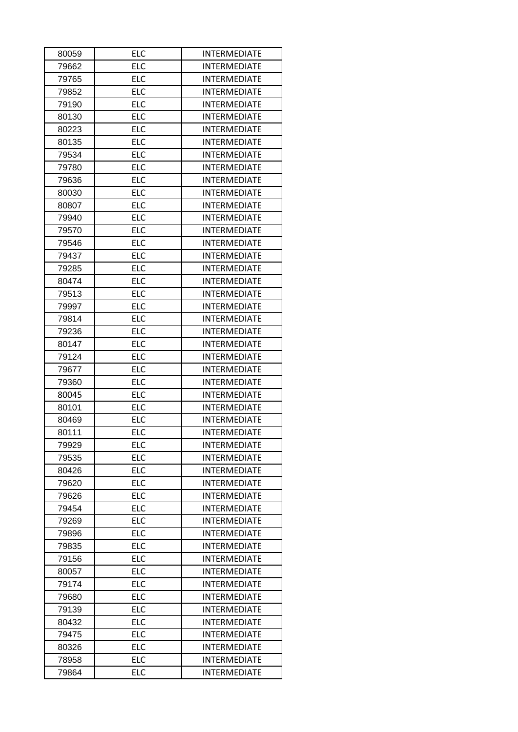| 80059 | ELC        | <b>INTERMEDIATE</b> |
|-------|------------|---------------------|
| 79662 | <b>ELC</b> | <b>INTERMEDIATE</b> |
| 79765 | <b>ELC</b> | <b>INTERMEDIATE</b> |
| 79852 | <b>ELC</b> | <b>INTERMEDIATE</b> |
| 79190 | <b>ELC</b> | <b>INTERMEDIATE</b> |
| 80130 | <b>ELC</b> | <b>INTERMEDIATE</b> |
| 80223 | <b>ELC</b> | <b>INTERMEDIATE</b> |
| 80135 | <b>ELC</b> | <b>INTERMEDIATE</b> |
| 79534 | <b>ELC</b> | <b>INTERMEDIATE</b> |
| 79780 | <b>ELC</b> | <b>INTERMEDIATE</b> |
| 79636 | <b>ELC</b> | <b>INTERMEDIATE</b> |
| 80030 | <b>ELC</b> | <b>INTERMEDIATE</b> |
| 80807 | <b>ELC</b> | <b>INTERMEDIATE</b> |
| 79940 | <b>ELC</b> | <b>INTERMEDIATE</b> |
| 79570 | <b>ELC</b> | <b>INTERMEDIATE</b> |
| 79546 | <b>ELC</b> | <b>INTERMEDIATE</b> |
| 79437 | <b>ELC</b> | <b>INTERMEDIATE</b> |
| 79285 | <b>ELC</b> | <b>INTERMEDIATE</b> |
| 80474 | <b>ELC</b> | <b>INTERMEDIATE</b> |
| 79513 | <b>ELC</b> | <b>INTERMEDIATE</b> |
| 79997 | <b>ELC</b> | <b>INTERMEDIATE</b> |
| 79814 | <b>ELC</b> | <b>INTERMEDIATE</b> |
| 79236 | <b>ELC</b> | <b>INTERMEDIATE</b> |
| 80147 | <b>ELC</b> | <b>INTERMEDIATE</b> |
| 79124 | <b>ELC</b> | <b>INTERMEDIATE</b> |
| 79677 | <b>ELC</b> | <b>INTERMEDIATE</b> |
| 79360 | <b>ELC</b> | <b>INTERMEDIATE</b> |
| 80045 | <b>ELC</b> | <b>INTERMEDIATE</b> |
| 80101 | <b>ELC</b> | <b>INTERMEDIATE</b> |
| 80469 | <b>ELC</b> | <b>INTERMEDIATE</b> |
| 80111 | <b>ELC</b> | <b>INTERMEDIATE</b> |
| 79929 | <b>ELC</b> | <b>INTERMEDIATE</b> |
| 79535 | <b>ELC</b> | <b>INTERMEDIATE</b> |
| 80426 | <b>ELC</b> | <b>INTERMEDIATE</b> |
| 79620 | <b>ELC</b> | <b>INTERMEDIATE</b> |
| 79626 | <b>ELC</b> | <b>INTERMEDIATE</b> |
| 79454 | <b>ELC</b> | <b>INTERMEDIATE</b> |
| 79269 | <b>ELC</b> | <b>INTERMEDIATE</b> |
| 79896 | <b>ELC</b> | <b>INTERMEDIATE</b> |
| 79835 | <b>ELC</b> | <b>INTERMEDIATE</b> |
| 79156 | <b>ELC</b> | <b>INTERMEDIATE</b> |
| 80057 | <b>ELC</b> | <b>INTERMEDIATE</b> |
| 79174 | <b>ELC</b> | <b>INTERMEDIATE</b> |
| 79680 | <b>ELC</b> | <b>INTERMEDIATE</b> |
| 79139 | <b>ELC</b> | <b>INTERMEDIATE</b> |
| 80432 | <b>ELC</b> | <b>INTERMEDIATE</b> |
| 79475 | <b>ELC</b> | <b>INTERMEDIATE</b> |
| 80326 | <b>ELC</b> | <b>INTERMEDIATE</b> |
| 78958 | <b>ELC</b> | <b>INTERMEDIATE</b> |
| 79864 | <b>ELC</b> | INTERMEDIATE        |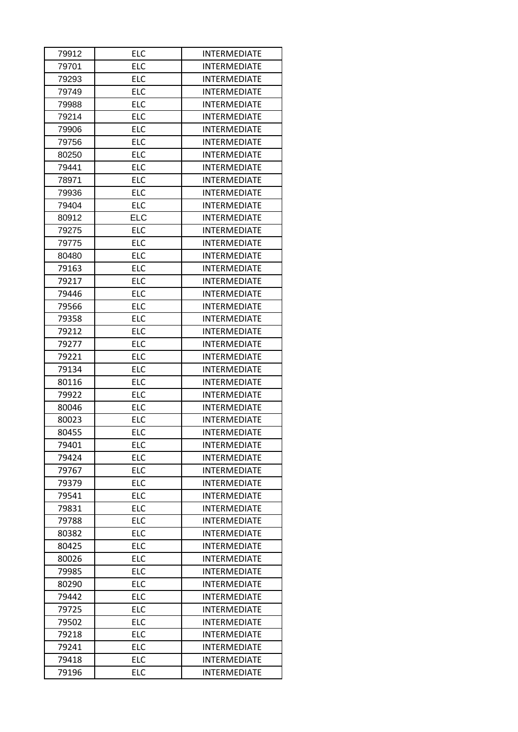| 79912 | <b>ELC</b> | <b>INTERMEDIATE</b> |  |
|-------|------------|---------------------|--|
| 79701 | <b>ELC</b> | <b>INTERMEDIATE</b> |  |
| 79293 | <b>ELC</b> | <b>INTERMEDIATE</b> |  |
| 79749 | <b>ELC</b> | <b>INTERMEDIATE</b> |  |
| 79988 | <b>ELC</b> | <b>INTERMEDIATE</b> |  |
| 79214 | <b>ELC</b> | <b>INTERMEDIATE</b> |  |
| 79906 | <b>ELC</b> | <b>INTERMEDIATE</b> |  |
| 79756 | <b>ELC</b> | <b>INTERMEDIATE</b> |  |
| 80250 | <b>ELC</b> | <b>INTERMEDIATE</b> |  |
| 79441 | <b>ELC</b> | <b>INTERMEDIATE</b> |  |
| 78971 | <b>ELC</b> | <b>INTERMEDIATE</b> |  |
| 79936 | <b>ELC</b> | <b>INTERMEDIATE</b> |  |
| 79404 | <b>ELC</b> | <b>INTERMEDIATE</b> |  |
| 80912 | <b>ELC</b> | <b>INTERMEDIATE</b> |  |
| 79275 | <b>ELC</b> | <b>INTERMEDIATE</b> |  |
| 79775 | <b>ELC</b> | <b>INTERMEDIATE</b> |  |
| 80480 | <b>ELC</b> | <b>INTERMEDIATE</b> |  |
| 79163 | <b>ELC</b> | <b>INTERMEDIATE</b> |  |
| 79217 | <b>ELC</b> | <b>INTERMEDIATE</b> |  |
| 79446 | <b>ELC</b> | <b>INTERMEDIATE</b> |  |
| 79566 | <b>ELC</b> | <b>INTERMEDIATE</b> |  |
| 79358 | <b>ELC</b> | <b>INTERMEDIATE</b> |  |
| 79212 | <b>ELC</b> | <b>INTERMEDIATE</b> |  |
| 79277 | <b>ELC</b> | <b>INTERMEDIATE</b> |  |
| 79221 | <b>ELC</b> | <b>INTERMEDIATE</b> |  |
| 79134 | <b>ELC</b> | <b>INTERMEDIATE</b> |  |
| 80116 | <b>ELC</b> | <b>INTERMEDIATE</b> |  |
| 79922 | <b>ELC</b> | <b>INTERMEDIATE</b> |  |
| 80046 | <b>ELC</b> | <b>INTERMEDIATE</b> |  |
| 80023 | <b>ELC</b> | <b>INTERMEDIATE</b> |  |
| 80455 | <b>ELC</b> | <b>INTERMEDIATE</b> |  |
| 79401 | <b>ELC</b> | <b>INTERMEDIATE</b> |  |
| 79424 | <b>ELC</b> | <b>INTERMEDIATE</b> |  |
| 79767 | <b>ELC</b> | <b>INTERMEDIATE</b> |  |
| 79379 | <b>ELC</b> | <b>INTERMEDIATE</b> |  |
| 79541 | <b>ELC</b> | <b>INTERMEDIATE</b> |  |
| 79831 | <b>ELC</b> | <b>INTERMEDIATE</b> |  |
| 79788 | <b>ELC</b> | <b>INTERMEDIATE</b> |  |
| 80382 | <b>ELC</b> | <b>INTERMEDIATE</b> |  |
| 80425 | <b>ELC</b> | <b>INTERMEDIATE</b> |  |
| 80026 | <b>ELC</b> | <b>INTERMEDIATE</b> |  |
| 79985 | <b>ELC</b> | <b>INTERMEDIATE</b> |  |
| 80290 | <b>ELC</b> | <b>INTERMEDIATE</b> |  |
| 79442 | <b>ELC</b> | <b>INTERMEDIATE</b> |  |
| 79725 | <b>ELC</b> | <b>INTERMEDIATE</b> |  |
| 79502 | <b>ELC</b> | <b>INTERMEDIATE</b> |  |
| 79218 | <b>ELC</b> | <b>INTERMEDIATE</b> |  |
| 79241 | <b>ELC</b> | <b>INTERMEDIATE</b> |  |
| 79418 | <b>ELC</b> | <b>INTERMEDIATE</b> |  |
| 79196 | <b>ELC</b> | INTERMEDIATE        |  |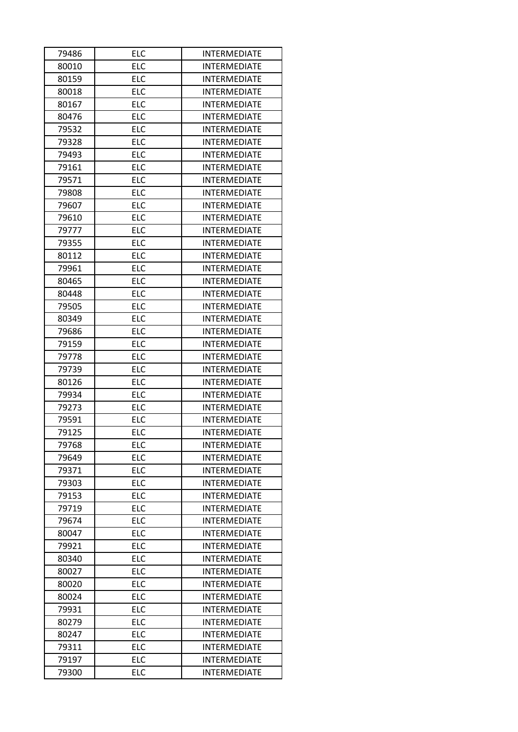| 79486 | <b>ELC</b> | <b>INTERMEDIATE</b> |  |
|-------|------------|---------------------|--|
| 80010 | <b>ELC</b> | <b>INTERMEDIATE</b> |  |
| 80159 | <b>ELC</b> | <b>INTERMEDIATE</b> |  |
| 80018 | <b>ELC</b> | <b>INTERMEDIATE</b> |  |
| 80167 | <b>ELC</b> | <b>INTERMEDIATE</b> |  |
| 80476 | <b>ELC</b> | <b>INTERMEDIATE</b> |  |
| 79532 | <b>ELC</b> | <b>INTERMEDIATE</b> |  |
| 79328 | <b>ELC</b> | <b>INTERMEDIATE</b> |  |
| 79493 | <b>ELC</b> | <b>INTERMEDIATE</b> |  |
| 79161 | <b>ELC</b> | <b>INTERMEDIATE</b> |  |
| 79571 | <b>ELC</b> | <b>INTERMEDIATE</b> |  |
| 79808 | <b>ELC</b> | <b>INTERMEDIATE</b> |  |
| 79607 | <b>ELC</b> | <b>INTERMEDIATE</b> |  |
| 79610 | <b>ELC</b> | <b>INTERMEDIATE</b> |  |
| 79777 | <b>ELC</b> | <b>INTERMEDIATE</b> |  |
| 79355 | <b>ELC</b> | <b>INTERMEDIATE</b> |  |
| 80112 | <b>ELC</b> | <b>INTERMEDIATE</b> |  |
| 79961 | <b>ELC</b> | <b>INTERMEDIATE</b> |  |
| 80465 | <b>ELC</b> | <b>INTERMEDIATE</b> |  |
| 80448 | <b>ELC</b> | <b>INTERMEDIATE</b> |  |
| 79505 | <b>ELC</b> | <b>INTERMEDIATE</b> |  |
| 80349 | <b>ELC</b> | <b>INTERMEDIATE</b> |  |
| 79686 | <b>ELC</b> | <b>INTERMEDIATE</b> |  |
| 79159 | <b>ELC</b> | <b>INTERMEDIATE</b> |  |
| 79778 | <b>ELC</b> | <b>INTERMEDIATE</b> |  |
| 79739 | <b>ELC</b> | <b>INTERMEDIATE</b> |  |
| 80126 | <b>ELC</b> | <b>INTERMEDIATE</b> |  |
| 79934 | <b>ELC</b> | <b>INTERMEDIATE</b> |  |
| 79273 | <b>ELC</b> | <b>INTERMEDIATE</b> |  |
| 79591 | <b>ELC</b> | <b>INTERMEDIATE</b> |  |
| 79125 | <b>ELC</b> | <b>INTERMEDIATE</b> |  |
| 79768 | <b>ELC</b> | <b>INTERMEDIATE</b> |  |
| 79649 | <b>ELC</b> | INTERMEDIATE        |  |
| 79371 | <b>ELC</b> | <b>INTERMEDIATE</b> |  |
| 79303 | <b>ELC</b> | <b>INTERMEDIATE</b> |  |
| 79153 | <b>ELC</b> | <b>INTERMEDIATE</b> |  |
| 79719 | <b>ELC</b> | <b>INTERMEDIATE</b> |  |
| 79674 | <b>ELC</b> | <b>INTERMEDIATE</b> |  |
| 80047 | <b>ELC</b> | <b>INTERMEDIATE</b> |  |
| 79921 | <b>ELC</b> | <b>INTERMEDIATE</b> |  |
| 80340 | <b>ELC</b> | <b>INTERMEDIATE</b> |  |
| 80027 | <b>ELC</b> | <b>INTERMEDIATE</b> |  |
| 80020 | <b>ELC</b> | <b>INTERMEDIATE</b> |  |
| 80024 | <b>ELC</b> | <b>INTERMEDIATE</b> |  |
| 79931 | <b>ELC</b> | <b>INTERMEDIATE</b> |  |
| 80279 | <b>ELC</b> | <b>INTERMEDIATE</b> |  |
| 80247 | <b>ELC</b> | <b>INTERMEDIATE</b> |  |
| 79311 | <b>ELC</b> | <b>INTERMEDIATE</b> |  |
| 79197 | <b>ELC</b> | <b>INTERMEDIATE</b> |  |
| 79300 | <b>ELC</b> | INTERMEDIATE        |  |
|       |            |                     |  |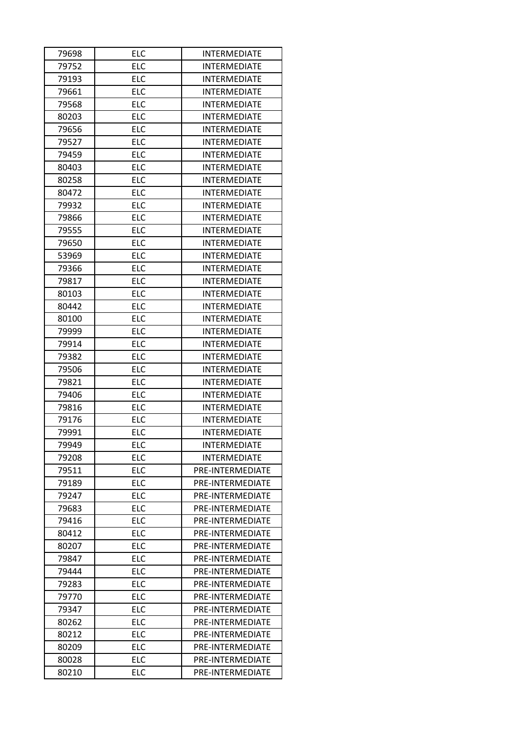| 79698 | <b>ELC</b> | <b>INTERMEDIATE</b>     |
|-------|------------|-------------------------|
| 79752 | <b>ELC</b> | <b>INTERMEDIATE</b>     |
| 79193 | <b>ELC</b> | <b>INTERMEDIATE</b>     |
| 79661 | <b>ELC</b> | <b>INTERMEDIATE</b>     |
| 79568 | <b>ELC</b> | <b>INTERMEDIATE</b>     |
| 80203 | <b>ELC</b> | <b>INTERMEDIATE</b>     |
| 79656 | <b>ELC</b> | <b>INTERMEDIATE</b>     |
| 79527 | <b>ELC</b> | <b>INTERMEDIATE</b>     |
| 79459 | <b>ELC</b> | <b>INTERMEDIATE</b>     |
| 80403 | <b>ELC</b> | <b>INTERMEDIATE</b>     |
| 80258 | <b>ELC</b> | INTERMEDIATE            |
| 80472 | <b>ELC</b> | <b>INTERMEDIATE</b>     |
| 79932 | <b>ELC</b> | <b>INTERMEDIATE</b>     |
| 79866 | <b>ELC</b> | <b>INTERMEDIATE</b>     |
| 79555 | <b>ELC</b> | <b>INTERMEDIATE</b>     |
| 79650 | <b>ELC</b> | <b>INTERMEDIATE</b>     |
| 53969 | <b>ELC</b> | <b>INTERMEDIATE</b>     |
| 79366 | <b>ELC</b> | <b>INTERMEDIATE</b>     |
| 79817 | <b>ELC</b> | <b>INTERMEDIATE</b>     |
| 80103 | <b>ELC</b> | <b>INTERMEDIATE</b>     |
| 80442 | <b>ELC</b> | <b>INTERMEDIATE</b>     |
| 80100 | <b>ELC</b> | <b>INTERMEDIATE</b>     |
| 79999 | <b>ELC</b> | <b>INTERMEDIATE</b>     |
| 79914 | <b>ELC</b> | <b>INTERMEDIATE</b>     |
| 79382 | <b>ELC</b> | <b>INTERMEDIATE</b>     |
| 79506 | <b>ELC</b> | <b>INTERMEDIATE</b>     |
| 79821 | <b>ELC</b> | <b>INTERMEDIATE</b>     |
| 79406 | <b>ELC</b> | <b>INTERMEDIATE</b>     |
| 79816 | <b>ELC</b> | <b>INTERMEDIATE</b>     |
| 79176 | <b>ELC</b> | <b>INTERMEDIATE</b>     |
| 79991 | <b>ELC</b> | <b>INTERMEDIATE</b>     |
| 79949 | <b>ELC</b> | <b>INTERMEDIATE</b>     |
| 79208 | <b>ELC</b> | <b>INTERMEDIATE</b>     |
| 79511 | <b>ELC</b> | PRE-INTERMEDIATE        |
| 79189 | <b>ELC</b> | PRE-INTERMEDIATE        |
| 79247 | <b>ELC</b> | PRE-INTERMEDIATE        |
| 79683 | <b>ELC</b> | <b>PRE-INTERMEDIATE</b> |
| 79416 | <b>ELC</b> | PRE-INTERMEDIATE        |
| 80412 | <b>ELC</b> | PRE-INTERMEDIATE        |
| 80207 | <b>ELC</b> | PRE-INTERMEDIATE        |
| 79847 | <b>ELC</b> | PRE-INTERMEDIATE        |
| 79444 | <b>ELC</b> | PRE-INTERMEDIATE        |
| 79283 | <b>ELC</b> | PRE-INTERMEDIATE        |
| 79770 | <b>ELC</b> | PRE-INTERMEDIATE        |
| 79347 | <b>ELC</b> | PRE-INTERMEDIATE        |
| 80262 | <b>ELC</b> | PRE-INTERMEDIATE        |
| 80212 | <b>ELC</b> | PRE-INTERMEDIATE        |
| 80209 | <b>ELC</b> | PRE-INTERMEDIATE        |
|       | <b>ELC</b> | PRE-INTERMEDIATE        |
| 80028 |            |                         |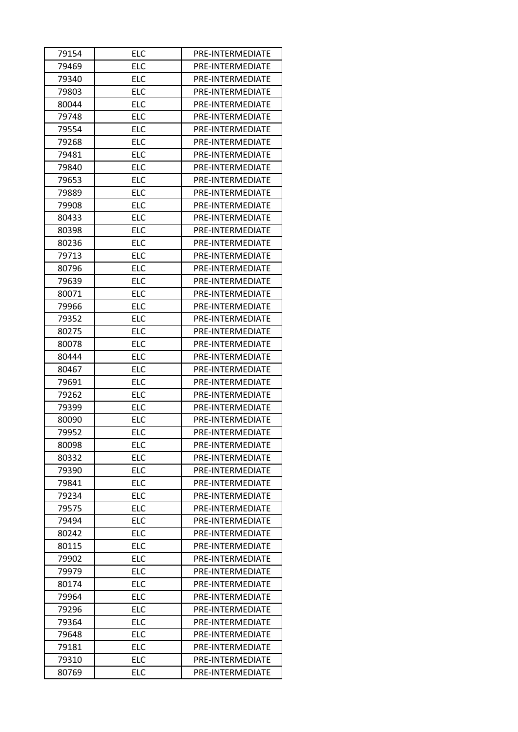| 79154 | <b>ELC</b> | PRE-INTERMEDIATE |
|-------|------------|------------------|
| 79469 | <b>ELC</b> | PRE-INTERMEDIATE |
| 79340 | <b>ELC</b> | PRE-INTERMEDIATE |
| 79803 | <b>ELC</b> | PRE-INTERMEDIATE |
| 80044 | <b>ELC</b> | PRE-INTERMEDIATE |
| 79748 | ELC        | PRE-INTERMEDIATE |
| 79554 | <b>ELC</b> | PRE-INTERMEDIATE |
| 79268 | <b>ELC</b> | PRE-INTERMEDIATE |
| 79481 | <b>ELC</b> | PRE-INTERMEDIATE |
| 79840 | <b>ELC</b> | PRE-INTERMEDIATE |
| 79653 | <b>ELC</b> | PRE-INTERMEDIATE |
| 79889 | <b>ELC</b> | PRE-INTERMEDIATE |
| 79908 | <b>ELC</b> | PRE-INTERMEDIATE |
| 80433 | <b>ELC</b> | PRE-INTERMEDIATE |
| 80398 | <b>ELC</b> | PRE-INTERMEDIATE |
| 80236 | <b>ELC</b> | PRE-INTERMEDIATE |
| 79713 | <b>ELC</b> | PRE-INTERMEDIATE |
| 80796 | <b>ELC</b> | PRE-INTERMEDIATE |
| 79639 | <b>ELC</b> | PRE-INTERMEDIATE |
| 80071 | <b>ELC</b> | PRE-INTERMEDIATE |
| 79966 | <b>ELC</b> | PRE-INTERMEDIATE |
| 79352 | <b>ELC</b> | PRE-INTERMEDIATE |
| 80275 | <b>ELC</b> | PRE-INTERMEDIATE |
| 80078 | <b>ELC</b> | PRE-INTERMEDIATE |
| 80444 | <b>ELC</b> | PRE-INTERMEDIATE |
| 80467 | <b>ELC</b> | PRE-INTERMEDIATE |
| 79691 | <b>ELC</b> | PRE-INTERMEDIATE |
| 79262 | <b>ELC</b> | PRE-INTERMEDIATE |
| 79399 | <b>ELC</b> | PRE-INTERMEDIATE |
| 80090 | <b>ELC</b> | PRE-INTERMEDIATE |
| 79952 | <b>ELC</b> | PRE-INTERMEDIATE |
| 80098 | <b>ELC</b> | PRE-INTERMEDIATE |
| 80332 | <b>ELC</b> | PRE-INTERMEDIATE |
| 79390 | <b>ELC</b> | PRE-INTERMEDIATE |
| 79841 | <b>ELC</b> | PRE-INTERMEDIATE |
| 79234 | <b>ELC</b> | PRE-INTERMEDIATE |
| 79575 | <b>ELC</b> | PRE-INTERMEDIATE |
| 79494 | <b>ELC</b> | PRE-INTERMEDIATE |
| 80242 | <b>ELC</b> | PRE-INTERMEDIATE |
| 80115 | <b>ELC</b> | PRE-INTERMEDIATE |
| 79902 | <b>ELC</b> | PRE-INTERMEDIATE |
| 79979 | <b>ELC</b> | PRE-INTERMEDIATE |
| 80174 | <b>ELC</b> | PRE-INTERMEDIATE |
| 79964 | <b>ELC</b> | PRE-INTERMEDIATE |
| 79296 | <b>ELC</b> | PRE-INTERMEDIATE |
| 79364 | <b>ELC</b> | PRE-INTERMEDIATE |
| 79648 | <b>ELC</b> | PRE-INTERMEDIATE |
| 79181 | <b>ELC</b> | PRE-INTERMEDIATE |
| 79310 | <b>ELC</b> | PRE-INTERMEDIATE |
| 80769 | <b>ELC</b> | PRE-INTERMEDIATE |
|       |            |                  |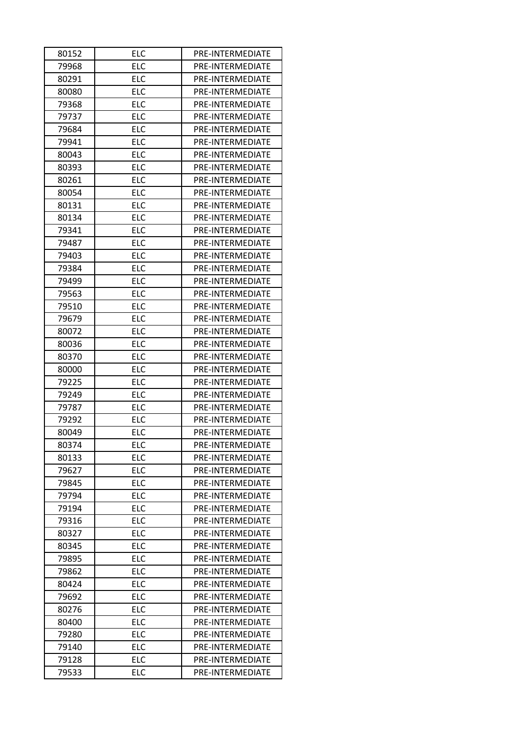| 80152 | <b>ELC</b> | PRE-INTERMEDIATE |
|-------|------------|------------------|
| 79968 | <b>ELC</b> | PRE-INTERMEDIATE |
| 80291 | <b>ELC</b> | PRE-INTERMEDIATE |
| 80080 | <b>ELC</b> | PRE-INTERMEDIATE |
| 79368 | <b>ELC</b> | PRE-INTERMEDIATE |
| 79737 | ELC        | PRE-INTERMEDIATE |
| 79684 | <b>ELC</b> | PRE-INTERMEDIATE |
| 79941 | <b>ELC</b> | PRE-INTERMEDIATE |
| 80043 | <b>ELC</b> | PRE-INTERMEDIATE |
| 80393 | <b>ELC</b> | PRE-INTERMEDIATE |
| 80261 | <b>ELC</b> | PRE-INTERMEDIATE |
| 80054 | <b>ELC</b> | PRE-INTERMEDIATE |
| 80131 | <b>ELC</b> | PRE-INTERMEDIATE |
| 80134 | <b>ELC</b> | PRE-INTERMEDIATE |
| 79341 | <b>ELC</b> | PRE-INTERMEDIATE |
| 79487 | <b>ELC</b> | PRE-INTERMEDIATE |
| 79403 | <b>ELC</b> | PRE-INTERMEDIATE |
| 79384 | <b>ELC</b> | PRE-INTERMEDIATE |
| 79499 | <b>ELC</b> | PRE-INTERMEDIATE |
| 79563 | <b>ELC</b> | PRE-INTERMEDIATE |
| 79510 | <b>ELC</b> | PRE-INTERMEDIATE |
| 79679 | <b>ELC</b> | PRE-INTERMEDIATE |
| 80072 | <b>ELC</b> | PRE-INTERMEDIATE |
| 80036 | <b>ELC</b> | PRE-INTERMEDIATE |
| 80370 | <b>ELC</b> | PRE-INTERMEDIATE |
| 80000 | <b>ELC</b> | PRE-INTERMEDIATE |
| 79225 | <b>ELC</b> | PRE-INTERMEDIATE |
| 79249 | <b>ELC</b> | PRE-INTERMEDIATE |
| 79787 | <b>ELC</b> | PRE-INTERMEDIATE |
| 79292 | <b>ELC</b> | PRE-INTERMEDIATE |
| 80049 | <b>ELC</b> | PRE-INTERMEDIATE |
| 80374 | <b>ELC</b> | PRE-INTERMEDIATE |
| 80133 | <b>ELC</b> | PRE-INTERMEDIATE |
| 79627 | <b>ELC</b> | PRE-INTERMEDIATE |
| 79845 | <b>ELC</b> | PRE-INTERMEDIATE |
| 79794 | <b>ELC</b> | PRE-INTERMEDIATE |
| 79194 | <b>ELC</b> | PRE-INTERMEDIATE |
| 79316 | <b>ELC</b> | PRE-INTERMEDIATE |
| 80327 | <b>ELC</b> | PRE-INTERMEDIATE |
| 80345 | <b>ELC</b> | PRE-INTERMEDIATE |
| 79895 | <b>ELC</b> | PRE-INTERMEDIATE |
| 79862 | <b>ELC</b> | PRE-INTERMEDIATE |
| 80424 | <b>ELC</b> | PRE-INTERMEDIATE |
| 79692 | <b>ELC</b> | PRE-INTERMEDIATE |
| 80276 | <b>ELC</b> | PRE-INTERMEDIATE |
| 80400 | <b>ELC</b> | PRE-INTERMEDIATE |
| 79280 | <b>ELC</b> | PRE-INTERMEDIATE |
| 79140 | <b>ELC</b> | PRE-INTERMEDIATE |
| 79128 | <b>ELC</b> | PRE-INTERMEDIATE |
| 79533 | <b>ELC</b> | PRE-INTERMEDIATE |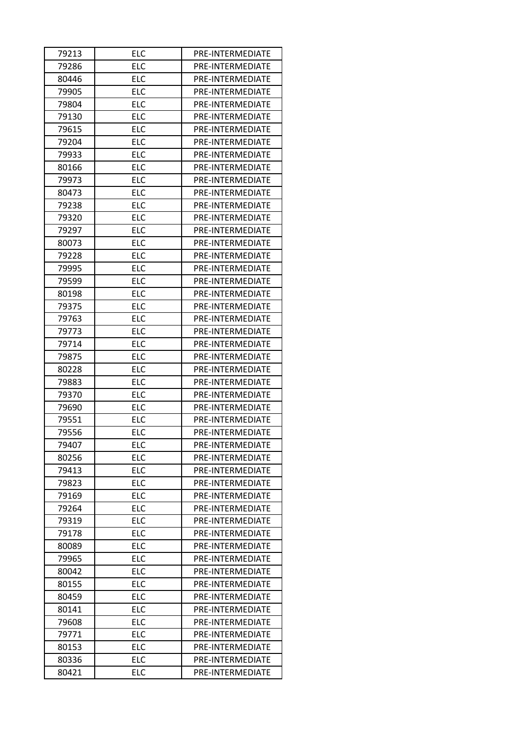| 79213          | <b>ELC</b>               | PRE-INTERMEDIATE                     |
|----------------|--------------------------|--------------------------------------|
| 79286          | <b>ELC</b>               | PRE-INTERMEDIATE                     |
| 80446          | <b>ELC</b>               | PRE-INTERMEDIATE                     |
| 79905          | <b>ELC</b>               | PRE-INTERMEDIATE                     |
| 79804          | <b>ELC</b>               | PRE-INTERMEDIATE                     |
| 79130          | ELC                      | PRE-INTERMEDIATE                     |
| 79615          | <b>ELC</b>               | PRE-INTERMEDIATE                     |
| 79204          | <b>ELC</b>               | PRE-INTERMEDIATE                     |
| 79933          | <b>ELC</b>               | PRE-INTERMEDIATE                     |
| 80166          | <b>ELC</b>               | PRE-INTERMEDIATE                     |
| 79973          | <b>ELC</b>               | PRE-INTERMEDIATE                     |
| 80473          | <b>ELC</b>               | PRE-INTERMEDIATE                     |
| 79238          | <b>ELC</b>               | PRE-INTERMEDIATE                     |
| 79320          | <b>ELC</b>               | PRE-INTERMEDIATE                     |
| 79297          | <b>ELC</b>               | PRE-INTERMEDIATE                     |
| 80073          | <b>ELC</b>               | PRE-INTERMEDIATE                     |
| 79228          | <b>ELC</b>               | PRE-INTERMEDIATE                     |
| 79995          | <b>ELC</b>               | PRE-INTERMEDIATE                     |
| 79599          | <b>ELC</b>               | PRE-INTERMEDIATE                     |
| 80198          | <b>ELC</b>               | PRE-INTERMEDIATE                     |
| 79375          | <b>ELC</b>               | PRE-INTERMEDIATE                     |
| 79763          | <b>ELC</b>               | PRE-INTERMEDIATE                     |
| 79773          | <b>ELC</b>               | PRE-INTERMEDIATE                     |
| 79714          | <b>ELC</b>               | PRE-INTERMEDIATE                     |
| 79875          | <b>ELC</b>               | PRE-INTERMEDIATE                     |
| 80228          | <b>ELC</b>               | PRE-INTERMEDIATE                     |
| 79883          | <b>ELC</b>               | PRE-INTERMEDIATE                     |
| 79370          | <b>ELC</b>               | PRE-INTERMEDIATE                     |
| 79690          | <b>ELC</b>               | PRE-INTERMEDIATE                     |
| 79551          | <b>ELC</b>               | PRE-INTERMEDIATE                     |
| 79556          | <b>ELC</b>               | PRE-INTERMEDIATE                     |
| 79407          | <b>ELC</b>               | PRE-INTERMEDIATE                     |
| 80256          | <b>ELC</b>               | PRE-INTERMEDIATE                     |
| 79413          | <b>ELC</b>               | PRE-INTERMEDIATE                     |
| 79823          | <b>ELC</b>               | PRE-INTERMEDIATE                     |
| 79169          | <b>ELC</b>               | PRE-INTERMEDIATE                     |
| 79264          | <b>ELC</b>               | PRE-INTERMEDIATE                     |
| 79319          | <b>ELC</b>               | PRE-INTERMEDIATE                     |
| 79178          | <b>ELC</b>               | PRE-INTERMEDIATE                     |
| 80089          | <b>ELC</b>               | PRE-INTERMEDIATE                     |
| 79965          | <b>ELC</b>               | PRE-INTERMEDIATE                     |
| 80042          | <b>ELC</b>               | PRE-INTERMEDIATE                     |
| 80155          | <b>ELC</b>               | PRE-INTERMEDIATE                     |
| 80459          | <b>ELC</b>               | PRE-INTERMEDIATE                     |
| 80141          | <b>ELC</b>               | PRE-INTERMEDIATE                     |
|                | <b>ELC</b>               | PRE-INTERMEDIATE                     |
| 79608          |                          |                                      |
| 79771          | <b>ELC</b><br><b>ELC</b> | PRE-INTERMEDIATE                     |
| 80153<br>80336 | <b>ELC</b>               | PRE-INTERMEDIATE<br>PRE-INTERMEDIATE |
| 80421          | <b>ELC</b>               |                                      |
|                |                          | PRE-INTERMEDIATE                     |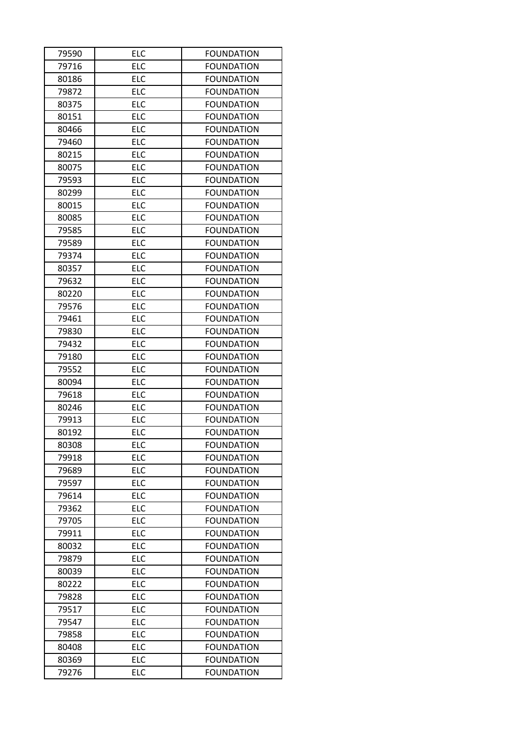| 79590 | <b>ELC</b> | <b>FOUNDATION</b> |  |
|-------|------------|-------------------|--|
| 79716 | <b>ELC</b> | <b>FOUNDATION</b> |  |
| 80186 | <b>ELC</b> | <b>FOUNDATION</b> |  |
| 79872 | <b>ELC</b> | <b>FOUNDATION</b> |  |
| 80375 | <b>ELC</b> | <b>FOUNDATION</b> |  |
| 80151 | <b>ELC</b> | <b>FOUNDATION</b> |  |
| 80466 | <b>ELC</b> | <b>FOUNDATION</b> |  |
| 79460 | <b>ELC</b> | <b>FOUNDATION</b> |  |
| 80215 | <b>ELC</b> | <b>FOUNDATION</b> |  |
| 80075 | <b>ELC</b> | <b>FOUNDATION</b> |  |
| 79593 | <b>ELC</b> | <b>FOUNDATION</b> |  |
| 80299 | <b>ELC</b> | <b>FOUNDATION</b> |  |
| 80015 | <b>ELC</b> | <b>FOUNDATION</b> |  |
| 80085 | <b>ELC</b> | <b>FOUNDATION</b> |  |
| 79585 | <b>ELC</b> | <b>FOUNDATION</b> |  |
| 79589 | <b>ELC</b> | <b>FOUNDATION</b> |  |
| 79374 | <b>ELC</b> | <b>FOUNDATION</b> |  |
| 80357 | <b>ELC</b> | <b>FOUNDATION</b> |  |
| 79632 | <b>ELC</b> | <b>FOUNDATION</b> |  |
| 80220 | <b>ELC</b> | <b>FOUNDATION</b> |  |
| 79576 | <b>ELC</b> | <b>FOUNDATION</b> |  |
| 79461 | <b>ELC</b> | <b>FOUNDATION</b> |  |
| 79830 | <b>ELC</b> | <b>FOUNDATION</b> |  |
| 79432 | <b>ELC</b> | <b>FOUNDATION</b> |  |
| 79180 | <b>ELC</b> | <b>FOUNDATION</b> |  |
| 79552 | <b>ELC</b> | <b>FOUNDATION</b> |  |
| 80094 | <b>ELC</b> | <b>FOUNDATION</b> |  |
| 79618 | <b>ELC</b> | <b>FOUNDATION</b> |  |
| 80246 | <b>ELC</b> | <b>FOUNDATION</b> |  |
| 79913 | <b>ELC</b> | <b>FOUNDATION</b> |  |
| 80192 | <b>ELC</b> | <b>FOUNDATION</b> |  |
| 80308 | <b>ELC</b> | <b>FOUNDATION</b> |  |
| 79918 | <b>ELC</b> | <b>FOUNDATION</b> |  |
| 79689 | <b>ELC</b> | <b>FOUNDATION</b> |  |
| 79597 | <b>ELC</b> | <b>FOUNDATION</b> |  |
| 79614 | <b>ELC</b> | <b>FOUNDATION</b> |  |
| 79362 | <b>ELC</b> | <b>FOUNDATION</b> |  |
| 79705 | <b>ELC</b> | <b>FOUNDATION</b> |  |
| 79911 | <b>ELC</b> | <b>FOUNDATION</b> |  |
| 80032 | <b>ELC</b> | <b>FOUNDATION</b> |  |
| 79879 | <b>ELC</b> | <b>FOUNDATION</b> |  |
| 80039 | <b>ELC</b> | <b>FOUNDATION</b> |  |
| 80222 | <b>ELC</b> | <b>FOUNDATION</b> |  |
| 79828 | <b>ELC</b> | <b>FOUNDATION</b> |  |
| 79517 | <b>ELC</b> | <b>FOUNDATION</b> |  |
| 79547 | <b>ELC</b> | <b>FOUNDATION</b> |  |
| 79858 | <b>ELC</b> | <b>FOUNDATION</b> |  |
| 80408 | <b>ELC</b> | <b>FOUNDATION</b> |  |
| 80369 | <b>ELC</b> | <b>FOUNDATION</b> |  |
| 79276 | <b>ELC</b> | <b>FOUNDATION</b> |  |
|       |            |                   |  |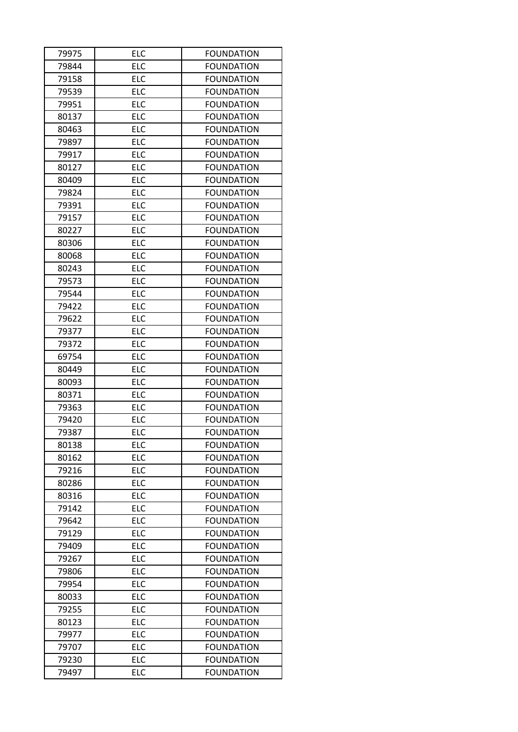| 79975 | <b>ELC</b> | <b>FOUNDATION</b> |  |
|-------|------------|-------------------|--|
| 79844 | <b>ELC</b> | <b>FOUNDATION</b> |  |
| 79158 | <b>ELC</b> | <b>FOUNDATION</b> |  |
| 79539 | <b>ELC</b> | <b>FOUNDATION</b> |  |
| 79951 | <b>ELC</b> | <b>FOUNDATION</b> |  |
| 80137 | <b>ELC</b> | <b>FOUNDATION</b> |  |
| 80463 | <b>ELC</b> | <b>FOUNDATION</b> |  |
| 79897 | <b>ELC</b> | <b>FOUNDATION</b> |  |
| 79917 | <b>ELC</b> | <b>FOUNDATION</b> |  |
| 80127 | <b>ELC</b> | <b>FOUNDATION</b> |  |
| 80409 | <b>ELC</b> | <b>FOUNDATION</b> |  |
| 79824 | <b>ELC</b> | <b>FOUNDATION</b> |  |
| 79391 | <b>ELC</b> | <b>FOUNDATION</b> |  |
| 79157 | <b>ELC</b> | <b>FOUNDATION</b> |  |
| 80227 | <b>ELC</b> | <b>FOUNDATION</b> |  |
| 80306 | <b>ELC</b> | <b>FOUNDATION</b> |  |
| 80068 | <b>ELC</b> | <b>FOUNDATION</b> |  |
| 80243 | <b>ELC</b> | <b>FOUNDATION</b> |  |
| 79573 | <b>ELC</b> | <b>FOUNDATION</b> |  |
| 79544 | <b>ELC</b> | <b>FOUNDATION</b> |  |
| 79422 | <b>ELC</b> | <b>FOUNDATION</b> |  |
| 79622 | <b>ELC</b> | <b>FOUNDATION</b> |  |
| 79377 | <b>ELC</b> | <b>FOUNDATION</b> |  |
| 79372 | <b>ELC</b> | <b>FOUNDATION</b> |  |
| 69754 | <b>ELC</b> | <b>FOUNDATION</b> |  |
| 80449 | <b>ELC</b> | <b>FOUNDATION</b> |  |
| 80093 | <b>ELC</b> | <b>FOUNDATION</b> |  |
| 80371 | <b>ELC</b> | <b>FOUNDATION</b> |  |
| 79363 | <b>ELC</b> | <b>FOUNDATION</b> |  |
| 79420 | <b>ELC</b> | <b>FOUNDATION</b> |  |
| 79387 | <b>ELC</b> | <b>FOUNDATION</b> |  |
| 80138 | <b>ELC</b> | <b>FOUNDATION</b> |  |
| 80162 | <b>ELC</b> | <b>FOUNDATION</b> |  |
| 79216 | <b>ELC</b> | <b>FOUNDATION</b> |  |
| 80286 | <b>ELC</b> | <b>FOUNDATION</b> |  |
| 80316 | <b>ELC</b> | <b>FOUNDATION</b> |  |
| 79142 | <b>ELC</b> | <b>FOUNDATION</b> |  |
| 79642 | <b>ELC</b> | <b>FOUNDATION</b> |  |
| 79129 | <b>ELC</b> | <b>FOUNDATION</b> |  |
| 79409 | <b>ELC</b> | <b>FOUNDATION</b> |  |
| 79267 | <b>ELC</b> | <b>FOUNDATION</b> |  |
| 79806 | <b>ELC</b> | <b>FOUNDATION</b> |  |
| 79954 | <b>ELC</b> | <b>FOUNDATION</b> |  |
| 80033 | <b>ELC</b> | <b>FOUNDATION</b> |  |
| 79255 | <b>ELC</b> | <b>FOUNDATION</b> |  |
| 80123 | <b>ELC</b> | <b>FOUNDATION</b> |  |
| 79977 | <b>ELC</b> | <b>FOUNDATION</b> |  |
| 79707 | <b>ELC</b> | <b>FOUNDATION</b> |  |
| 79230 | ELC        | <b>FOUNDATION</b> |  |
| 79497 | <b>ELC</b> | <b>FOUNDATION</b> |  |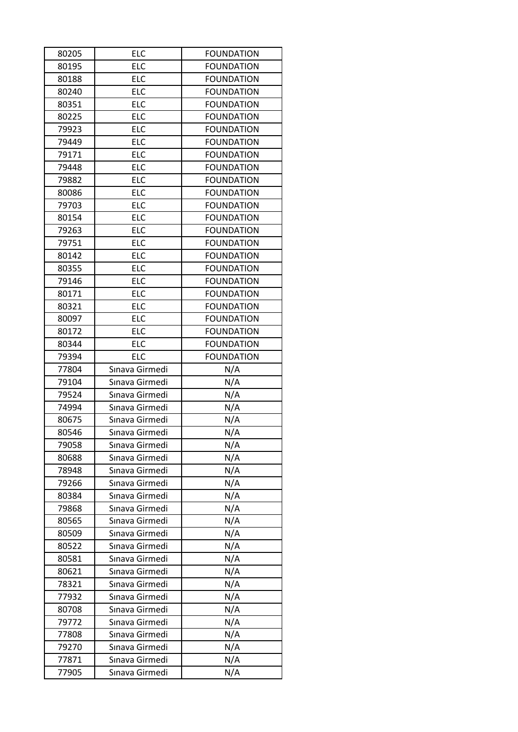| 80205 | <b>ELC</b>     | <b>FOUNDATION</b> |
|-------|----------------|-------------------|
| 80195 | <b>ELC</b>     | <b>FOUNDATION</b> |
| 80188 | <b>ELC</b>     | <b>FOUNDATION</b> |
| 80240 | <b>ELC</b>     | <b>FOUNDATION</b> |
| 80351 | <b>ELC</b>     | <b>FOUNDATION</b> |
| 80225 | <b>ELC</b>     | <b>FOUNDATION</b> |
| 79923 | <b>ELC</b>     | <b>FOUNDATION</b> |
| 79449 | <b>ELC</b>     | <b>FOUNDATION</b> |
| 79171 | <b>ELC</b>     | <b>FOUNDATION</b> |
| 79448 | <b>ELC</b>     | <b>FOUNDATION</b> |
| 79882 | <b>ELC</b>     | <b>FOUNDATION</b> |
| 80086 | <b>ELC</b>     | <b>FOUNDATION</b> |
| 79703 | <b>ELC</b>     | <b>FOUNDATION</b> |
| 80154 | <b>ELC</b>     | <b>FOUNDATION</b> |
| 79263 | <b>ELC</b>     | <b>FOUNDATION</b> |
| 79751 | <b>ELC</b>     | <b>FOUNDATION</b> |
| 80142 | <b>ELC</b>     | <b>FOUNDATION</b> |
| 80355 | <b>ELC</b>     | <b>FOUNDATION</b> |
| 79146 | <b>ELC</b>     | <b>FOUNDATION</b> |
| 80171 | <b>ELC</b>     | <b>FOUNDATION</b> |
| 80321 | <b>ELC</b>     | <b>FOUNDATION</b> |
| 80097 | <b>ELC</b>     | <b>FOUNDATION</b> |
| 80172 | <b>ELC</b>     | <b>FOUNDATION</b> |
| 80344 | <b>ELC</b>     | <b>FOUNDATION</b> |
| 79394 | <b>ELC</b>     | <b>FOUNDATION</b> |
| 77804 | Sınava Girmedi | N/A               |
| 79104 | Sınava Girmedi | N/A               |
| 79524 | Sınava Girmedi | N/A               |
| 74994 | Sınava Girmedi | N/A               |
| 80675 | Sınava Girmedi | N/A               |
| 80546 | Sınava Girmedi | N/A               |
| 79058 | Sınava Girmedi | N/A               |
| 80688 | Sınava Girmedi | N/A               |
| 78948 | Sınava Girmedi | N/A               |
| 79266 | Sınava Girmedi | N/A               |
| 80384 | Sınava Girmedi | N/A               |
| 79868 | Sınava Girmedi | N/A               |
| 80565 | Sınava Girmedi | N/A               |
| 80509 | Sınava Girmedi | N/A               |
| 80522 | Sınava Girmedi | N/A               |
| 80581 | Sınava Girmedi | N/A               |
| 80621 | Sınava Girmedi | N/A               |
| 78321 | Sınava Girmedi | N/A               |
| 77932 | Sınava Girmedi | N/A               |
| 80708 | Sınava Girmedi | N/A               |
| 79772 | Sınava Girmedi | N/A               |
| 77808 |                | N/A               |
|       | Sınava Girmedi |                   |
| 79270 | Sınava Girmedi |                   |
| 77871 | Sınava Girmedi | N/A<br>N/A        |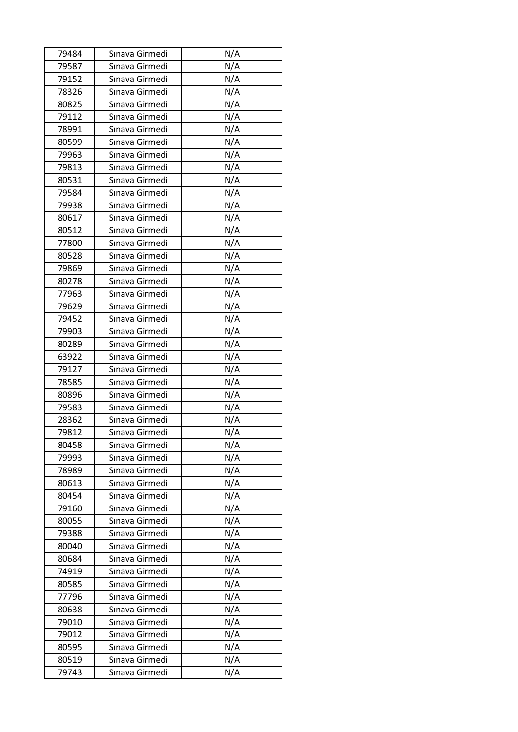| 79484 | Sınava Girmedi | N/A |
|-------|----------------|-----|
| 79587 | Sınava Girmedi | N/A |
| 79152 | Sınava Girmedi | N/A |
| 78326 | Sınava Girmedi | N/A |
| 80825 | Sınava Girmedi | N/A |
| 79112 | Sınava Girmedi | N/A |
| 78991 | Sınava Girmedi | N/A |
| 80599 | Sınava Girmedi | N/A |
| 79963 | Sınava Girmedi | N/A |
| 79813 | Sınava Girmedi | N/A |
| 80531 | Sınava Girmedi | N/A |
| 79584 | Sınava Girmedi | N/A |
| 79938 | Sınava Girmedi | N/A |
| 80617 | Sınava Girmedi | N/A |
| 80512 | Sınava Girmedi | N/A |
| 77800 | Sınava Girmedi | N/A |
| 80528 | Sınava Girmedi | N/A |
| 79869 | Sınava Girmedi | N/A |
| 80278 | Sınava Girmedi | N/A |
| 77963 | Sınava Girmedi | N/A |
| 79629 | Sınava Girmedi | N/A |
| 79452 | Sınava Girmedi | N/A |
| 79903 | Sınava Girmedi | N/A |
| 80289 | Sınava Girmedi | N/A |
| 63922 | Sınava Girmedi | N/A |
| 79127 | Sınava Girmedi | N/A |
| 78585 | Sınava Girmedi | N/A |
| 80896 | Sınava Girmedi | N/A |
| 79583 | Sınava Girmedi | N/A |
| 28362 | Sınava Girmedi | N/A |
| 79812 | Sınava Girmedi | N/A |
| 80458 | Sınava Girmedi | N/A |
| 79993 | Sınava Girmedi | N/A |
| 78989 | Sınava Girmedi | N/A |
| 80613 | Sınava Girmedi | N/A |
| 80454 | Sınava Girmedi | N/A |
| 79160 | Sınava Girmedi | N/A |
| 80055 | Sınava Girmedi | N/A |
| 79388 | Sınava Girmedi | N/A |
| 80040 | Sınava Girmedi | N/A |
| 80684 | Sınava Girmedi | N/A |
| 74919 | Sınava Girmedi | N/A |
| 80585 | Sınava Girmedi | N/A |
| 77796 | Sınava Girmedi | N/A |
| 80638 | Sınava Girmedi | N/A |
| 79010 | Sınava Girmedi | N/A |
| 79012 | Sınava Girmedi | N/A |
| 80595 | Sınava Girmedi | N/A |
| 80519 | Sınava Girmedi | N/A |
| 79743 | Sınava Girmedi | N/A |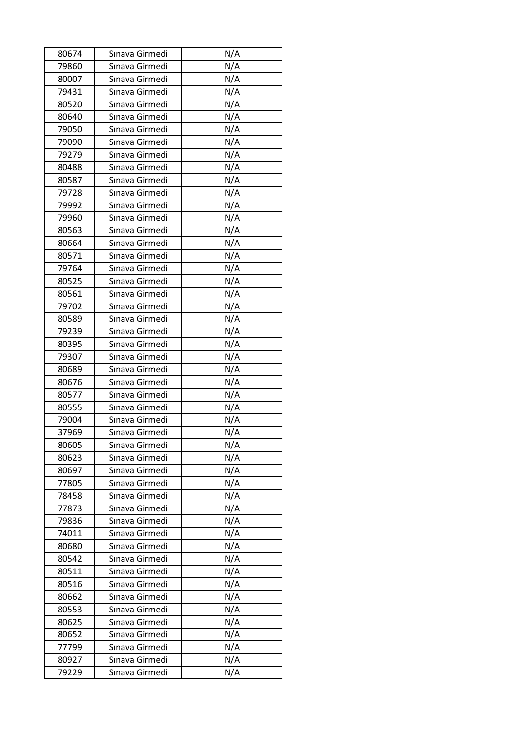| 80674 | Sınava Girmedi | N/A |
|-------|----------------|-----|
| 79860 | Sınava Girmedi | N/A |
| 80007 | Sınava Girmedi | N/A |
| 79431 | Sınava Girmedi | N/A |
| 80520 | Sınava Girmedi | N/A |
| 80640 | Sınava Girmedi | N/A |
| 79050 | Sınava Girmedi | N/A |
| 79090 | Sınava Girmedi | N/A |
| 79279 | Sınava Girmedi | N/A |
| 80488 | Sınava Girmedi | N/A |
| 80587 | Sınava Girmedi | N/A |
| 79728 | Sınava Girmedi | N/A |
| 79992 | Sınava Girmedi | N/A |
| 79960 | Sınava Girmedi | N/A |
| 80563 | Sınava Girmedi | N/A |
| 80664 | Sınava Girmedi | N/A |
| 80571 | Sınava Girmedi | N/A |
| 79764 | Sınava Girmedi | N/A |
| 80525 | Sınava Girmedi | N/A |
| 80561 | Sınava Girmedi | N/A |
| 79702 | Sınava Girmedi | N/A |
| 80589 | Sınava Girmedi | N/A |
| 79239 | Sınava Girmedi | N/A |
| 80395 | Sınava Girmedi | N/A |
| 79307 | Sınava Girmedi | N/A |
| 80689 | Sınava Girmedi | N/A |
| 80676 | Sınava Girmedi | N/A |
| 80577 | Sınava Girmedi | N/A |
| 80555 | Sınava Girmedi | N/A |
| 79004 | Sınava Girmedi | N/A |
| 37969 | Sınava Girmedi | N/A |
| 80605 | Sınava Girmedi | N/A |
| 80623 | Sınava Girmedi | N/A |
| 80697 | Sınava Girmedi | N/A |
| 77805 | Sınava Girmedi | N/A |
| 78458 | Sınava Girmedi | N/A |
| 77873 | Sınava Girmedi | N/A |
| 79836 | Sınava Girmedi | N/A |
| 74011 | Sınava Girmedi | N/A |
| 80680 | Sınava Girmedi | N/A |
| 80542 | Sınava Girmedi | N/A |
| 80511 | Sınava Girmedi | N/A |
| 80516 | Sınava Girmedi | N/A |
| 80662 | Sınava Girmedi | N/A |
| 80553 | Sınava Girmedi | N/A |
| 80625 | Sınava Girmedi | N/A |
| 80652 | Sınava Girmedi | N/A |
| 77799 | Sınava Girmedi | N/A |
| 80927 | Sınava Girmedi | N/A |
| 79229 | Sınava Girmedi | N/A |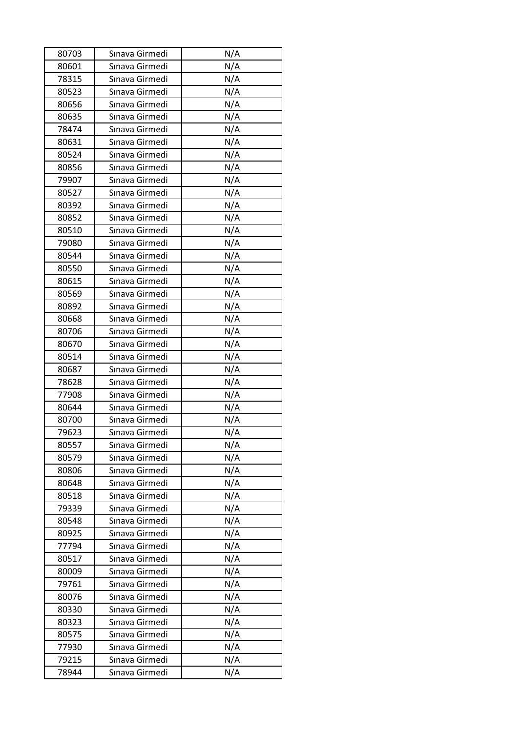| 80703 | Sınava Girmedi | N/A |
|-------|----------------|-----|
| 80601 | Sınava Girmedi | N/A |
| 78315 | Sınava Girmedi | N/A |
| 80523 | Sınava Girmedi | N/A |
| 80656 | Sınava Girmedi | N/A |
| 80635 | Sınava Girmedi | N/A |
| 78474 | Sınava Girmedi | N/A |
| 80631 | Sınava Girmedi | N/A |
| 80524 | Sınava Girmedi | N/A |
| 80856 | Sınava Girmedi | N/A |
| 79907 | Sınava Girmedi | N/A |
| 80527 | Sınava Girmedi | N/A |
| 80392 | Sınava Girmedi | N/A |
| 80852 | Sınava Girmedi | N/A |
| 80510 | Sınava Girmedi | N/A |
| 79080 | Sınava Girmedi | N/A |
| 80544 | Sınava Girmedi | N/A |
| 80550 | Sınava Girmedi | N/A |
| 80615 | Sınava Girmedi | N/A |
| 80569 | Sınava Girmedi | N/A |
| 80892 | Sınava Girmedi | N/A |
| 80668 | Sınava Girmedi | N/A |
| 80706 | Sınava Girmedi | N/A |
| 80670 | Sınava Girmedi | N/A |
| 80514 | Sınava Girmedi | N/A |
| 80687 | Sınava Girmedi | N/A |
| 78628 | Sınava Girmedi | N/A |
| 77908 | Sınava Girmedi | N/A |
| 80644 | Sınava Girmedi | N/A |
| 80700 | Sınava Girmedi | N/A |
| 79623 | Sınava Girmedi | N/A |
| 80557 | Sınava Girmedi | N/A |
| 80579 | Sınava Girmedi | N/A |
| 80806 | Sınava Girmedi | N/A |
| 80648 | Sınava Girmedi | N/A |
| 80518 | Sınava Girmedi | N/A |
| 79339 | Sınava Girmedi | N/A |
| 80548 | Sınava Girmedi | N/A |
| 80925 | Sınava Girmedi | N/A |
| 77794 | Sınava Girmedi | N/A |
| 80517 | Sınava Girmedi |     |
|       | Sınava Girmedi | N/A |
| 80009 |                | N/A |
| 79761 | Sınava Girmedi | N/A |
| 80076 | Sınava Girmedi | N/A |
| 80330 | Sınava Girmedi | N/A |
| 80323 | Sınava Girmedi | N/A |
| 80575 | Sınava Girmedi | N/A |
| 77930 | Sınava Girmedi | N/A |
| 79215 | Sınava Girmedi | N/A |
| 78944 | Sınava Girmedi | N/A |